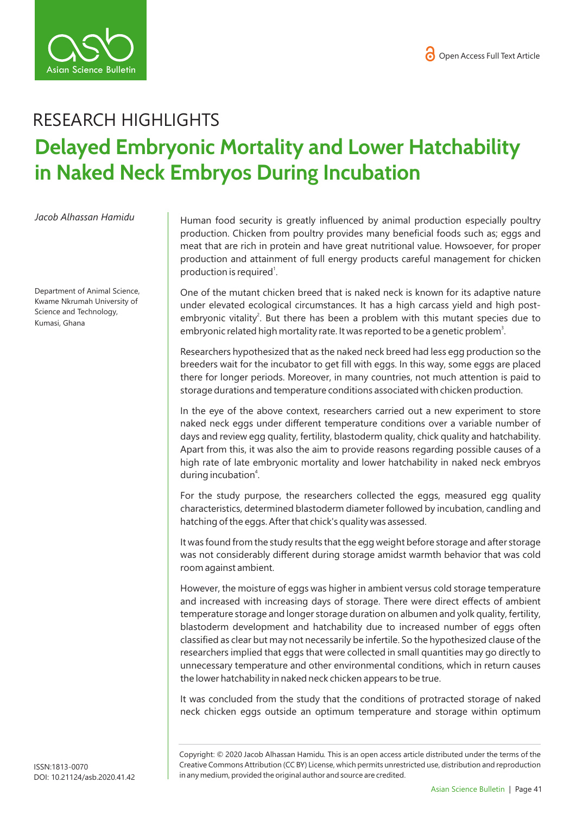

## RESEARCH HIGHLIGHTS **Delayed Embryonic Mortality and Lower Hatchability in Naked Neck Embryos During Incubation**

*Jacob Alhassan Hamidu* 

Department of Animal Science, Kwame Nkrumah University of Science and Technology, Kumasi, Ghana

Human food security is greatly influenced by animal production especially poultry production. Chicken from poultry provides many beneficial foods such as; eggs and meat that are rich in protein and have great nutritional value. Howsoever, for proper production and attainment of full energy products careful management for chicken production is required<sup>1</sup>.

One of the mutant chicken breed that is naked neck is known for its adaptive nature under elevated ecological circumstances. It has a high carcass yield and high postembryonic vitality<sup>2</sup>. But there has been a problem with this mutant species due to embryonic related high mortality rate. It was reported to be a genetic problem<sup>3</sup>.

Researchers hypothesized that as the naked neck breed had less egg production so the breeders wait for the incubator to get fill with eggs. In this way, some eggs are placed there for longer periods. Moreover, in many countries, not much attention is paid to storage durations and temperature conditions associated with chicken production.

In the eye of the above context, researchers carried out a new experiment to store naked neck eggs under different temperature conditions over a variable number of days and review egg quality, fertility, blastoderm quality, chick quality and hatchability. Apart from this, it was also the aim to provide reasons regarding possible causes of a high rate of late embryonic mortality and lower hatchability in naked neck embryos during incubation<sup>4</sup>.

For the study purpose, the researchers collected the eggs, measured egg quality characteristics, determined blastoderm diameter followed by incubation, candling and hatching of the eggs. After that chick's quality was assessed.

It was found from the study results that the egg weight before storage and after storage was not considerably different during storage amidst warmth behavior that was cold room against ambient.

However, the moisture of eggs was higher in ambient versus cold storage temperature and increased with increasing days of storage. There were direct effects of ambient temperature storage and longer storage duration on albumen and yolk quality, fertility, blastoderm development and hatchability due to increased number of eggs often classified as clear but may not necessarily be infertile. So the hypothesized clause of the researchers implied that eggs that were collected in small quantities may go directly to unnecessary temperature and other environmental conditions, which in return causes the lower hatchability in naked neck chicken appears to be true.

It was concluded from the study that the conditions of protracted storage of naked neck chicken eggs outside an optimum temperature and storage within optimum

Copyright: © 2020 Jacob Alhassan Hamidu*.* This is an open access article distributed under the terms of the Creative Commons Attribution (CC BY) License, which permits unrestricted use, distribution and reproduction in any medium, provided the original author and source are credited.